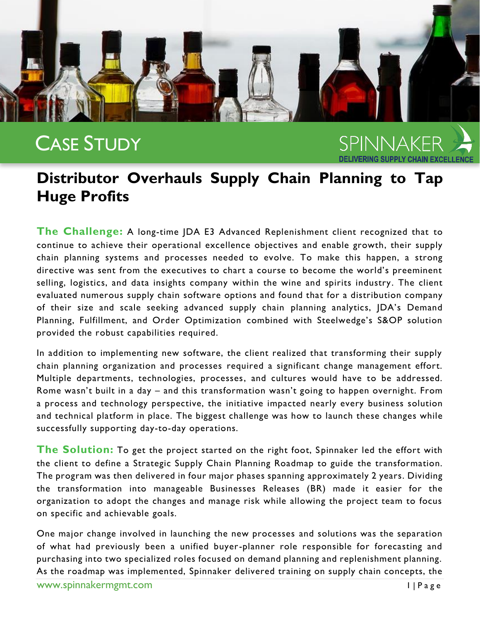

## CASE STUDY

SPINNAKFR

## **Distributor Overhauls Supply Chain Planning to Tap Huge Profits**

**The Challenge:** A long-time JDA E3 Advanced Replenishment client recognized that to continue to achieve their operational excellence objectives and enable growth, their supply chain planning systems and processes needed to evolve. To make this happen, a strong directive was sent from the executives to chart a course to become the world's preeminent selling, logistics, and data insights company within the wine and spirits industry. The client evaluated numerous supply chain software options and found that for a distribution company of their size and scale seeking advanced supply chain planning analytics, JDA's Demand Planning, Fulfillment, and Order Optimization combined with Steelwedge's S&OP solution provided the robust capabilities required.

In addition to implementing new software, the client realized that transforming their supply chain planning organization and processes required a significant change management effort. Multiple departments, technologies, processes, and cultures would have to be addressed. Rome wasn't built in a day – and this transformation wasn't going to happen overnight. From a process and technology perspective, the initiative impacted nearly every business solution and technical platform in place. The biggest challenge was how to launch these changes while successfully supporting day-to-day operations.

**The Solution:** To get the project started on the right foot, Spinnaker led the effort with the client to define a Strategic Supply Chain Planning Roadmap to guide the transformation. The program was then delivered in four major phases spanning approximately 2 years. Dividing the transformation into manageable Businesses Releases (BR) made it easier for the organization to adopt the changes and manage risk while allowing the project team to focus on specific and achievable goals.

One major change involved in launching the new processes and solutions was the separation of what had previously been a unified buyer-planner role responsible for forecasting and purchasing into two specialized roles focused on demand planning and replenishment planning. As the roadmap was implemented, Spinnaker delivered training on supply chain concepts, the